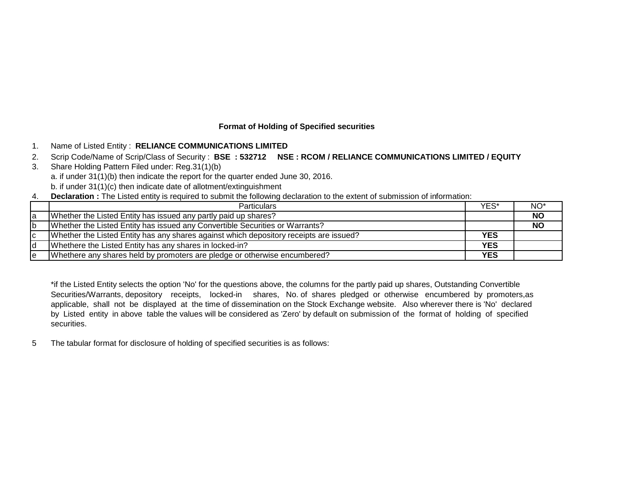# **Format of Holding of Specified securities**

- 1. Name of Listed Entity : **RELIANCE COMMUNICATIONS LIMITED**
- 2. Scrip Code/Name of Scrip/Class of Security : **BSE : 532712 NSE : RCOM / RELIANCE COMMUNICATIONS LIMITED / EQUITY**
- 3. Share Holding Pattern Filed under: Reg.31(1)(b) a. if under 31(1)(b) then indicate the report for the quarter ended June 30, 2016. b. if under 31(1)(c) then indicate date of allotment/extinguishment
- 4. **Declaration :** The Listed entity is required to submit the following declaration to the extent of submission of information:

|    | <b>Particulars</b>                                                                     | YES*       | NO <sup>*</sup> |
|----|----------------------------------------------------------------------------------------|------------|-----------------|
| la | Whether the Listed Entity has issued any partly paid up shares?                        |            | <b>NO</b>       |
| lb | Whether the Listed Entity has issued any Convertible Securities or Warrants?           |            | <b>NO</b>       |
| Ιc | Whether the Listed Entity has any shares against which depository receipts are issued? | <b>YES</b> |                 |
| Id | Whethere the Listed Entity has any shares in locked-in?                                | <b>YES</b> |                 |
| le | Whethere any shares held by promoters are pledge or otherwise encumbered?              | <b>YES</b> |                 |

\*if the Listed Entity selects the option 'No' for the questions above, the columns for the partly paid up shares, Outstanding Convertible Securities/Warrants, depository receipts, locked-in shares, No. of shares pledged or otherwise encumbered by promoters,as applicable, shall not be displayed at the time of dissemination on the Stock Exchange website. Also wherever there is 'No' declared by Listed entity in above table the values will be considered as 'Zero' by default on submission of the format of holding of specified securities.

5 The tabular format for disclosure of holding of specified securities is as follows: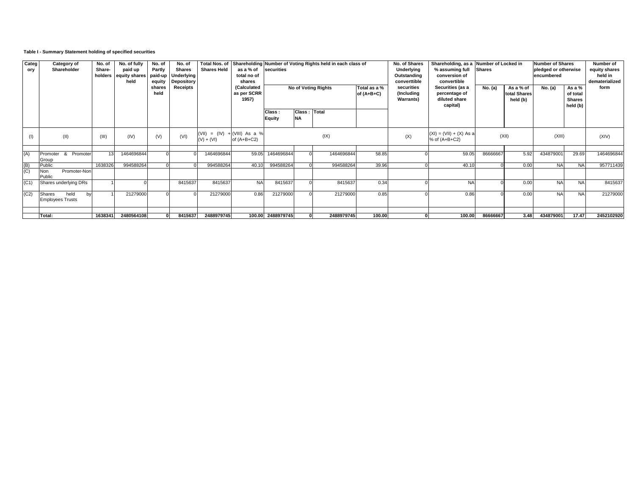# **Table I - Summary Statement holding of specified securities**

| Categ<br>ory      | Category of<br>Shareholder                      | No. of<br>Share-<br>holders | No. of fully<br>paid up<br>equity shares paid-up<br>held | No. of<br>Partly<br>equity | No. of<br>Shares<br><b>Underlying</b><br><b>Depository</b> | <b>Shares Held</b>                             | as a % of<br>total no of<br>shares  | securities              |                           | Total Nos. of Shareholding Number of Voting Rights held in each class of |                              | No. of Shares<br>Underlying<br>Outstanding<br>converttible | Shareholding, as a Number of Locked in<br>% assuming full<br>conversion of<br>convertible | <b>Shares</b> |                                       | <b>Number of Shares</b><br>pledged or otherwise<br>encumbered | Number of<br>equity shares<br>held in<br>dematerialized |            |
|-------------------|-------------------------------------------------|-----------------------------|----------------------------------------------------------|----------------------------|------------------------------------------------------------|------------------------------------------------|-------------------------------------|-------------------------|---------------------------|--------------------------------------------------------------------------|------------------------------|------------------------------------------------------------|-------------------------------------------------------------------------------------------|---------------|---------------------------------------|---------------------------------------------------------------|---------------------------------------------------------|------------|
|                   |                                                 |                             |                                                          | shares<br>held             | Receipts                                                   |                                                | (Calculated<br>as per SCRR<br>1957) | No of Voting Rights     |                           |                                                                          | Total as a %<br>of $(A+B+C)$ | securities<br>(Including<br><b>Warrants</b> )              | Securities (as a<br>percentage of<br>diluted share<br>capital)                            | No. (a)       | As a % of<br>total Shares<br>held (b) | No. (a)                                                       | As a %<br>of total<br><b>Shares</b><br>held (b)         | form       |
|                   |                                                 |                             |                                                          |                            |                                                            |                                                |                                     | Class:<br><b>Equity</b> | Class: Total<br><b>NA</b> |                                                                          |                              |                                                            |                                                                                           |               |                                       |                                                               |                                                         |            |
|                   | (II)                                            | (III)                       | (IV)                                                     | (V)                        | (VI)                                                       | (VII) = $(IV) + (VIII)$ As a %<br>$(V) + (VI)$ | of $(A+B+C2)$                       |                         |                           | (IX)                                                                     |                              | (X)                                                        | $(XI) = (VII) + (X) As a$<br>$%$ of $(A+B+C2)$                                            |               | (XII)                                 | (XIII)                                                        |                                                         | (XIV)      |
| (A)               | Promoter & Promoter<br>Group                    | 13                          | 1464696844                                               |                            |                                                            | 1464696844                                     | 59.05                               | 1464696844              |                           | 1464696844                                                               | 58.85                        |                                                            | 59.05                                                                                     | 86666667      | 5.92                                  | 43487900                                                      | 29.69                                                   | 1464696844 |
|                   | Public                                          | 1638326                     | 994588264                                                | $\Omega$                   |                                                            | 994588264                                      | 40.10                               | 994588264               |                           | 994588264                                                                | 39.96                        |                                                            | 40.10                                                                                     |               | 0.00                                  | <b>NA</b>                                                     | <b>NA</b>                                               | 957711439  |
| $\frac{(B)}{(C)}$ | Promoter-Non<br>Non<br>Public                   |                             |                                                          |                            |                                                            |                                                |                                     |                         |                           |                                                                          |                              |                                                            |                                                                                           |               |                                       |                                                               |                                                         |            |
| (C1)              | Shares underlying DRs                           |                             |                                                          |                            | 8415637                                                    | 8415637                                        | <b>NA</b>                           | 8415637                 |                           | 8415637                                                                  | 0.34                         |                                                            | <b>NA</b>                                                                                 |               | 0.00                                  | <b>NA</b>                                                     | <b>NA</b>                                               | 8415637    |
| (C2)              | held<br>Shares<br>hv<br><b>Employees Trusts</b> |                             | 21279000                                                 |                            |                                                            | 21279000                                       | 0.86                                | 21279000                |                           | 21279000                                                                 | 0.85                         |                                                            | 0.86                                                                                      |               | 0.00                                  | <b>NA</b>                                                     | <b>NA</b>                                               | 21279000   |
|                   | Total:                                          | 1638341                     | 2480564108                                               |                            | 8415637                                                    | 2488979745                                     |                                     | 100.00 2488979745       |                           | 2488979745                                                               | 100.00                       |                                                            | 100.00                                                                                    | 86666667      | 3.48                                  | 434879001                                                     | 17.47                                                   | 2452102920 |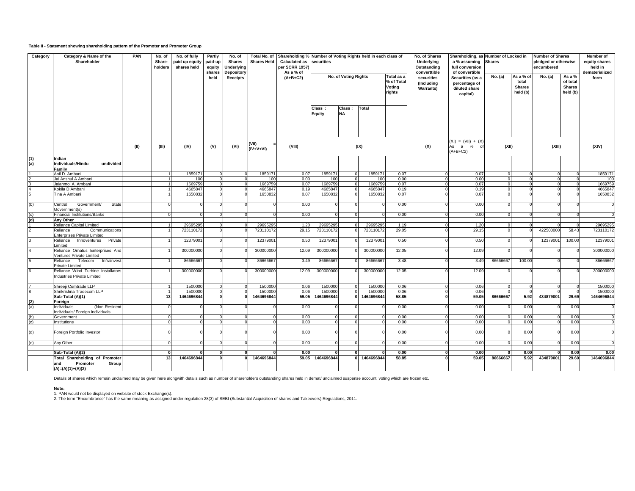### **Table II - Statement showing shareholding pattern of the Promoter and Promoter Group**

| Category | Category & Name of the<br>Shareholder                                                    | PAN  | No. of<br>Share-<br>holders | No. of fully<br>paid up equity<br>shares held | Partly<br>paid-up<br>equity<br>shares | No. of<br>Shares<br>Underlying<br>Depository<br><b>Receipts</b> | Total No. of<br><b>Shares Held</b> | Shareholding % Number of Voting Rights held in each class of<br><b>Calculated as</b><br>per SCRR 1957)<br>As a % of | securities       |                      |              |                                              | No. of Shares<br>Underlying<br>Outstanding<br>converttible | Shareholding, as Number of Locked in<br>a % assuming<br>full conversion<br>of convertible | <b>Shares</b> |                                                 | <b>Number of Shares</b><br>pledged or otherwise<br>encumbered |                                                 | Number of<br>equity shares<br>held in<br>dematerialized |
|----------|------------------------------------------------------------------------------------------|------|-----------------------------|-----------------------------------------------|---------------------------------------|-----------------------------------------------------------------|------------------------------------|---------------------------------------------------------------------------------------------------------------------|------------------|----------------------|--------------|----------------------------------------------|------------------------------------------------------------|-------------------------------------------------------------------------------------------|---------------|-------------------------------------------------|---------------------------------------------------------------|-------------------------------------------------|---------------------------------------------------------|
|          |                                                                                          |      |                             |                                               | held                                  |                                                                 |                                    | $(A+B+C2)$                                                                                                          |                  | No. of Voting Rights |              | Total as a<br>% of Total<br>Voting<br>rights | securities<br>(Including<br><b>Warrants)</b>               | Securities (as a<br>percentage of<br>diluted share<br>capital)                            | No. (a)       | As a % of<br>total<br><b>Shares</b><br>held (b) | No. (a)                                                       | As a %<br>of total<br><b>Shares</b><br>held (b) | form                                                    |
|          |                                                                                          |      |                             |                                               |                                       |                                                                 |                                    |                                                                                                                     | Class:<br>Equity | Class:<br><b>NA</b>  | <b>Total</b> |                                              |                                                            |                                                                                           |               |                                                 |                                                               |                                                 |                                                         |
|          |                                                                                          | (II) | (III)                       | (IV)                                          | (V)                                   | (VI)                                                            | (VII)<br>$(IV+V+VI)$               | (VIII)                                                                                                              |                  |                      | (IX)         |                                              | (X)                                                        | $(XI) = (VII) + (X)$<br>As a % of<br>$(A+B+C2)$                                           | (XII)         |                                                 | (XIII)                                                        |                                                 | (XIV)                                                   |
| (1)      | Indian                                                                                   |      |                             |                                               |                                       |                                                                 |                                    |                                                                                                                     |                  |                      |              |                                              |                                                            |                                                                                           |               |                                                 |                                                               |                                                 |                                                         |
| (a)      | Individuals/Hindu<br>undivided                                                           |      |                             |                                               |                                       |                                                                 |                                    |                                                                                                                     |                  |                      |              |                                              |                                                            |                                                                                           |               |                                                 |                                                               |                                                 |                                                         |
|          | Family                                                                                   |      |                             |                                               |                                       |                                                                 |                                    |                                                                                                                     |                  |                      |              |                                              |                                                            |                                                                                           |               |                                                 |                                                               |                                                 |                                                         |
|          | Anil D. Ambani                                                                           |      |                             | 1859171                                       |                                       |                                                                 | 1859171                            | 0.07                                                                                                                | 1859171          |                      | 1859171      | 0.07                                         |                                                            | 0.07<br>$\circ$                                                                           |               |                                                 |                                                               |                                                 | 1859171                                                 |
|          | Jai Anshul A Ambani                                                                      |      |                             | 100                                           |                                       |                                                                 | 100                                | 0.00                                                                                                                | 100              |                      | 100          | 0.00                                         | $\Omega$                                                   | 0.00                                                                                      |               |                                                 |                                                               |                                                 | 100                                                     |
|          | Jaianmol A. Ambani                                                                       |      |                             | 1669759                                       |                                       |                                                                 | 1669759                            | 0.07                                                                                                                | 1669759          |                      | 1669759      | 0.07                                         | $\Omega$                                                   | 0.07                                                                                      |               |                                                 |                                                               |                                                 | 1669759                                                 |
|          | Kokila D Ambani                                                                          |      |                             | 4665847                                       |                                       |                                                                 | 4665847                            | 0.19                                                                                                                | 4665847          |                      | 4665847      | 0.19                                         | $\Omega$                                                   | 0.19                                                                                      |               |                                                 |                                                               |                                                 | 4665847                                                 |
|          | <b>Fina A Ambani</b>                                                                     |      |                             | 1650832                                       |                                       |                                                                 | 1650832                            | 0.07                                                                                                                | 1650832          |                      | 1650832      | 0.07                                         |                                                            | 0.07                                                                                      |               |                                                 |                                                               |                                                 | 1650832                                                 |
| (b)      | <b>State</b><br>Government/<br>Central<br>Government(s)                                  |      |                             |                                               |                                       |                                                                 |                                    | 0.00                                                                                                                |                  |                      |              | 0.00                                         |                                                            | 0.00                                                                                      |               |                                                 |                                                               |                                                 | $\mathbf{C}$                                            |
| (c)      | <b>Financial Institutions/Banks</b>                                                      |      |                             | $\Omega$                                      |                                       |                                                                 |                                    | 0.00                                                                                                                |                  |                      |              | 0.00                                         |                                                            | 0.00                                                                                      |               |                                                 |                                                               |                                                 | $\Omega$                                                |
| (d)      | Any Other                                                                                |      |                             |                                               |                                       |                                                                 |                                    |                                                                                                                     |                  |                      |              |                                              |                                                            |                                                                                           |               |                                                 |                                                               |                                                 |                                                         |
|          | <b>Reliance Capital Limited</b>                                                          |      |                             | 29695295                                      |                                       |                                                                 | 29695295                           | 1.20                                                                                                                | 29695295         |                      | 29695295     | 1.19                                         | $\Omega$                                                   | 1.20                                                                                      |               |                                                 |                                                               |                                                 | 29695295                                                |
|          | Communications<br>Reliance<br><b>Enterprises Private Limited</b>                         |      |                             | 723110172                                     |                                       |                                                                 | 723110172                          | 29.15                                                                                                               | 723110172        |                      | 723110172    | 29.05                                        |                                                            | 29.15                                                                                     |               |                                                 | 422500000                                                     | 58.43                                           | 723110172                                               |
|          | Reliance<br>Innoventures<br>Private<br>imited                                            |      |                             | 1237900                                       |                                       |                                                                 | 12379001                           | 0.50                                                                                                                | 12379001         |                      | 12379001     | 0.50                                         |                                                            | 0.50                                                                                      |               |                                                 | 12379001                                                      | 100.00                                          | 12379001                                                |
|          | Reliance Ornatus Enterprises And<br>Ventures Private Limited                             |      |                             | 300000000                                     |                                       |                                                                 | 300000000                          | 12.09                                                                                                               | 300000000        |                      | 300000000    | 12.05                                        |                                                            | 12.09                                                                                     |               |                                                 |                                                               |                                                 | 300000000                                               |
|          | Reliance<br>Telecom<br>Infrainves<br>Private Limited                                     |      |                             | 86666667                                      |                                       |                                                                 | 86666667                           | 3.49                                                                                                                | 86666667         |                      | 86666667     | 3.48                                         |                                                            | 3.49                                                                                      | 86666667      | 100.00                                          |                                                               |                                                 | 86666667                                                |
|          | Reliance Wind Turbine Installators<br><b>Industries Private Limited</b>                  |      |                             | 300000000                                     |                                       |                                                                 | 300000000                          | 12.09                                                                                                               | 300000000        |                      | 300000000    | 12.05                                        |                                                            | 12.09                                                                                     |               |                                                 |                                                               |                                                 | 300000000                                               |
|          | Shreeji Comtrade LLP                                                                     |      |                             | 1500000                                       |                                       |                                                                 | 1500000                            | 0.06                                                                                                                | 1500000          |                      | 1500000      | 0.06                                         | $\Omega$                                                   | 0.06                                                                                      |               | $\Omega$                                        |                                                               |                                                 | 1500000                                                 |
|          | Shrikrishna Tradecom LLP                                                                 |      | $\overline{1}$              | 1500000                                       |                                       | $\Omega$                                                        | 1500000                            | 0.06                                                                                                                | 1500000          |                      | 1500000      | 0.06                                         |                                                            | 0.06<br>$\Omega$                                                                          | $\Omega$      | $\Omega$                                        |                                                               | $\Omega$                                        | 1500000                                                 |
|          | Sub-Total (A)(1)                                                                         |      | 13                          | 1464696844                                    |                                       |                                                                 | 1464696844                         | 59.05                                                                                                               | 1464696844       |                      | 1464696844   | 58.85                                        |                                                            | 59.05                                                                                     | 86666667      | 5.92                                            | 434879001                                                     | 29.69                                           | 1464696844                                              |
| (2)      | Foreign                                                                                  |      |                             |                                               |                                       |                                                                 |                                    |                                                                                                                     |                  |                      |              |                                              |                                                            |                                                                                           |               |                                                 |                                                               |                                                 |                                                         |
| (a)      | (Non-Resident<br>Individuals<br>Individuals/ Foreign Individuals                         |      | $\Omega$                    |                                               |                                       |                                                                 |                                    | 0.00<br>0.00                                                                                                        |                  |                      |              | 0.00                                         |                                                            | 0.00<br>0.00                                                                              |               | 0.00                                            |                                                               | 0.00                                            | $\overline{0}$<br>$\Omega$                              |
| (b)      | Government                                                                               |      |                             | $\Omega$                                      |                                       |                                                                 |                                    | 0.00                                                                                                                |                  |                      |              | 0.00<br>0.00                                 |                                                            | 0.00                                                                                      |               | 0.00<br>0.00                                    |                                                               | 0.00<br>0.00                                    |                                                         |
|          | Institutions                                                                             |      |                             |                                               |                                       |                                                                 |                                    |                                                                                                                     |                  |                      |              |                                              |                                                            |                                                                                           |               |                                                 |                                                               |                                                 |                                                         |
|          |                                                                                          |      | $\Omega$                    |                                               |                                       |                                                                 |                                    |                                                                                                                     |                  |                      |              | 0.00                                         | $\Omega$                                                   | 0.00                                                                                      |               | 0.00                                            |                                                               | 0.00                                            | $\sqrt{ }$                                              |
|          | Foreign Portfolio Investor                                                               |      |                             |                                               |                                       |                                                                 |                                    | 0.00                                                                                                                |                  |                      |              |                                              |                                                            |                                                                                           |               |                                                 |                                                               |                                                 |                                                         |
| (e)      | Any Other                                                                                |      |                             |                                               |                                       |                                                                 |                                    | 0.00                                                                                                                |                  |                      |              | 0.00                                         |                                                            | 0.00                                                                                      |               | 0.00                                            |                                                               | 0.00                                            |                                                         |
|          | Sub-Total (A)(2)                                                                         |      | $\mathbf{0}$                |                                               |                                       |                                                                 |                                    | 0.00                                                                                                                |                  |                      |              | 0.00                                         | O                                                          | 0.00                                                                                      |               | 0.00                                            |                                                               | 0.00                                            | 0.00                                                    |
|          | <b>Total Shareholding of Promoter</b><br>and<br>Promoter<br>Group<br>$(A)=(A)(1)+(A)(2)$ |      | 13                          | 1464696844                                    |                                       |                                                                 | 1464696844                         | 59.05                                                                                                               | 1464696844       |                      | 1464696844   | 58.85                                        |                                                            | 59.05                                                                                     | 86666667      | 5.92                                            | 434879001                                                     | 29.69                                           | 1464696844                                              |

Details of shares which remain unclaimed may be given here alongwith details such as number of shareholders outstanding shares held in demat/ unclaimed suspense account, voting which are frozen etc.

#### **Note:**

1. PAN would not be displayed on website of stock Exchange(s).<br>2. The term "Encumbrance" has the same meaning as assigned under regulation 28(3) of SEBI (Substantial Acquisition of shares and Takeovers) Regulations, 2011.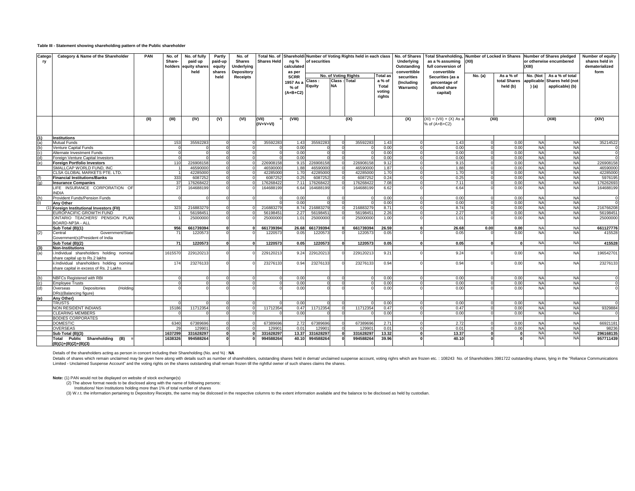#### **Table III - Statement showing shareholding pattern of the Public shareholder**

| Catego<br>ry | Category & Name of the Shareholder                                                   | <b>PAN</b> | No. of<br>Share-<br>holders | No. of fully<br>paid up<br>equity shares<br>held | Partly<br>paid-up<br>equity<br>shares | No. of<br><b>Shares</b><br><b>Underlying</b><br>Depository | <b>Shares Held</b>   | ng %<br>calculated<br>as per                     | Total No. of Shareholdi Number of Voting Rights held in each class<br>of securities |                           |                               | No. of Shares<br>Underlying<br>Outstanding<br>converttible | as a % assuming<br>full conversion of        | Total Shareholding, Number of Locked in Shares Number of Shares pledged<br>(XII)<br>convertible |          |                                       | or otherwise encumbered         | Number of equity<br>shares held in<br>dematerialized<br>form |                      |
|--------------|--------------------------------------------------------------------------------------|------------|-----------------------------|--------------------------------------------------|---------------------------------------|------------------------------------------------------------|----------------------|--------------------------------------------------|-------------------------------------------------------------------------------------|---------------------------|-------------------------------|------------------------------------------------------------|----------------------------------------------|-------------------------------------------------------------------------------------------------|----------|---------------------------------------|---------------------------------|--------------------------------------------------------------|----------------------|
|              |                                                                                      |            |                             |                                                  | held                                  | <b>Receipts</b>                                            |                      | <b>SCRR</b><br>1957 As a<br>$%$ of<br>$(A+B+C2)$ | Class:<br><b>Equity</b>                                                             | <b>Class</b><br><b>NA</b> | No. of Voting Rights<br>Total | <b>Total as</b><br>a % of<br>Total<br>voting<br>rights     | securities<br>(Including<br><b>Warrants)</b> | Securities (as a<br>percentage of<br>diluted share<br>capital)                                  | No. (a)  | As a % of<br>total Shares<br>held (b) | No. (Not<br>applicable<br>) (a) | As a % of total<br>Shares held (not<br>applicable) (b)       |                      |
|              |                                                                                      |            |                             |                                                  |                                       |                                                            |                      |                                                  |                                                                                     |                           |                               |                                                            |                                              |                                                                                                 |          |                                       |                                 |                                                              |                      |
|              |                                                                                      | (II)       | (III)                       | (IV)                                             | (V)                                   | (VI)                                                       | (VII)<br>$(IV+V+VI)$ | (VIII)                                           |                                                                                     |                           | (IX)                          |                                                            | (X)                                          | $(XI) = (VII) + (X) As a$<br>% of (A+B+C2)                                                      |          | (XII)                                 |                                 | (XIII)                                                       | (XIV)                |
| (1)          | <b>Institutions</b>                                                                  |            |                             |                                                  |                                       |                                                            |                      |                                                  |                                                                                     |                           |                               |                                                            |                                              |                                                                                                 |          |                                       |                                 |                                                              |                      |
|              | <b>Mutual Funds</b>                                                                  |            | 153                         | 35592283                                         |                                       |                                                            | 35592283             | 1.43                                             | 35592283                                                                            | $\Omega$                  | 35592283                      | 1.43                                                       |                                              | 1.43                                                                                            |          | 0.00                                  | <b>NA</b>                       | <b>NA</b>                                                    | 35214522             |
|              | Venture Capital Funds                                                                |            |                             |                                                  |                                       |                                                            |                      | 0.00                                             |                                                                                     |                           |                               | 0.00                                                       |                                              | 0.00                                                                                            |          | 0.00                                  | <b>NA</b>                       | <b>NA</b>                                                    |                      |
|              | Alternate Investment Funds                                                           |            |                             |                                                  |                                       |                                                            |                      | 0.00                                             |                                                                                     |                           |                               | 0.00                                                       |                                              | 0.00                                                                                            |          | 0.00                                  | <b>NA</b>                       | <b>NA</b>                                                    |                      |
|              | Foreign Venture Capital Investors                                                    |            |                             |                                                  |                                       |                                                            |                      | 0.00                                             |                                                                                     |                           |                               | 0.00                                                       |                                              | 0.00                                                                                            |          | 0.00                                  | <b>NA</b>                       | <b>NA</b>                                                    |                      |
| (e)          | <b>Foreian Portfolio Investors</b>                                                   |            | 110                         | 226908158                                        |                                       |                                                            | 226908158            | 9.15                                             | 226908158                                                                           |                           | 226908158                     | 9.12                                                       |                                              | 9.15                                                                                            |          | 0.00                                  | <b>NA</b>                       | <b>NA</b>                                                    | 226908158            |
|              | SMALLCAP WORLD FUND, INC                                                             |            |                             | 46590000<br>42285000                             | $\Omega$                              |                                                            | 46590000<br>42285000 | 1.88<br>1.70                                     | 46590000<br>42285000                                                                |                           | 46590000<br>42285000          | 1.87<br>1.70                                               |                                              | 1.88<br>1.70                                                                                    | $\Omega$ | 0.00<br>0.00                          | <b>NA</b><br><b>NA</b>          | <b>NA</b><br><b>NA</b>                                       | 46590000<br>42285000 |
|              | CLSA GLOBAL MARKETS PTE. LTD.<br><b>Financial Institutions/Banks</b>                 |            | 333                         | 6087252                                          |                                       |                                                            | 6087252              | 0.25                                             | 6087252                                                                             |                           | 6087252                       | 0.24                                                       |                                              | 0.25                                                                                            |          | 0.00                                  | <b>NA</b>                       | <b>NA</b>                                                    | 5976195              |
| (q)          | <b>Insurance Companies</b>                                                           |            | 37                          | 176268422                                        | $\Omega$                              |                                                            | 17626842             | 7.11                                             | 176268422                                                                           | $\Omega$                  | 17626842                      | 7.08                                                       |                                              | 7.11                                                                                            | $\Omega$ | 0.00                                  | <b>NA</b>                       | <b>NA</b>                                                    | 176262693            |
|              | LIFE INSURANCE CORPORATION OF                                                        |            | 27                          | 164688199                                        |                                       |                                                            | 164688199            | 6.64                                             | 164688199                                                                           |                           | 164688199                     | 6.62                                                       |                                              | 6.64                                                                                            |          | 0.00                                  | <b>NA</b>                       | <b>NA</b>                                                    | 164688199            |
|              | <b>INDIA</b>                                                                         |            |                             |                                                  |                                       |                                                            |                      |                                                  |                                                                                     |                           |                               |                                                            |                                              |                                                                                                 |          |                                       |                                 |                                                              |                      |
|              | Provident Funds/Pension Funds                                                        |            |                             |                                                  |                                       |                                                            |                      | 0.00<br>0.00                                     |                                                                                     |                           |                               | 0.00                                                       |                                              | 0.00                                                                                            |          | 0.00                                  | <b>NA</b>                       | <b>NA</b>                                                    |                      |
|              | <b>Any Other</b><br>Foreign Institutional Investors (FII)                            |            |                             | 216883279                                        |                                       |                                                            |                      |                                                  |                                                                                     |                           | 21688327                      | 0.00                                                       |                                              | 0.00                                                                                            |          | 0.00                                  | <b>NA</b>                       | <b>NA</b>                                                    | 216766208            |
|              | <b>EUROPACIFIC GROWTH FUND</b>                                                       |            | 323                         | 56198451                                         |                                       |                                                            | 21688327<br>5619845  | 8.74<br>2.27                                     | 216883279<br>56198451                                                               |                           | 5619845                       | 8.71<br>2.26                                               |                                              | 8.74<br>2.27                                                                                    |          | 0.00<br>0.00                          | <b>NA</b><br><b>NA</b>          | <b>NA</b><br><b>NA</b>                                       | 56198451             |
|              | ONTARIO TEACHERS' PENSION PLAN                                                       |            |                             | 25000000                                         |                                       |                                                            | 25000000             | 1.01                                             | 25000000                                                                            |                           | 25000000                      | 1.00                                                       |                                              | 1.01                                                                                            |          | 0.00                                  | <b>NA</b>                       | <b>NA</b>                                                    | 25000000             |
|              | BOARD-NP3A - ALL                                                                     |            |                             |                                                  | $\Omega$                              |                                                            |                      |                                                  |                                                                                     |                           |                               |                                                            |                                              |                                                                                                 |          |                                       |                                 |                                                              |                      |
|              | Sub Total (B)(1)                                                                     |            | 956<br>71                   | 661739394                                        |                                       |                                                            | 661739394            | 26.68                                            | 661739394                                                                           | U                         | 661739394                     | 26.59                                                      |                                              | 26.68<br>0.05                                                                                   | 0.00     | 0.00<br>0.00                          | <b>NA</b><br><b>NA</b>          | <b>NA</b><br><b>NA</b>                                       | 661127776<br>415528  |
| (2)          | Government/State<br>Central<br>Government(s)/President of India                      |            |                             | 1220573                                          |                                       |                                                            | 1220573              | 0.05                                             | 1220573                                                                             |                           | 122057                        | 0.05                                                       |                                              |                                                                                                 |          |                                       |                                 |                                                              |                      |
|              | Sub Total (B)(2)                                                                     |            | 71                          | 1220573                                          |                                       |                                                            | 1220573              | 0.05                                             | 1220573                                                                             | $\mathbf{a}$              | 1220573                       | 0.05                                                       |                                              | 0.05                                                                                            |          | $\Omega$                              | <b>NA</b>                       | <b>NA</b>                                                    | 415528               |
| (a)          | <b>Non-Institutions</b><br>i.Individual shareholders holding nominal                 |            | 1615570                     | 229120213                                        |                                       |                                                            | 229120213            | 9.24                                             | 229120213                                                                           |                           | 229120213                     | 9.21                                                       |                                              | 9.24                                                                                            |          | 0.00                                  | <b>NA</b>                       | <b>NA</b>                                                    | 196542701            |
|              | share capital up to Rs.2 lakhs                                                       |            |                             |                                                  |                                       |                                                            |                      |                                                  |                                                                                     |                           |                               |                                                            |                                              |                                                                                                 |          |                                       |                                 |                                                              |                      |
|              | ii.Individual shareholders holding nominal<br>share capital in excess of Rs. 2 Lakhs |            | 174                         | 23276133                                         |                                       |                                                            | 23276133             | 0.94                                             | 23276133                                                                            |                           | 23276133                      | 0.94                                                       |                                              | 0.94                                                                                            |          | 0.00                                  | <b>NA</b>                       | <b>NA</b>                                                    | 23276133             |
|              |                                                                                      |            |                             |                                                  |                                       |                                                            |                      |                                                  |                                                                                     |                           |                               |                                                            |                                              |                                                                                                 |          |                                       |                                 |                                                              |                      |
| (b)          | NBFCs Registered with RBI<br><b>Employee Trusts</b>                                  |            |                             |                                                  |                                       |                                                            |                      | 0.00<br>0.00                                     |                                                                                     |                           |                               | 0.00<br>0.00                                               |                                              | 0.00<br>0.00                                                                                    |          | 0.00<br>0.00                          | <b>NA</b><br><b>NA</b>          | <b>NA</b><br><b>NA</b>                                       |                      |
| (c)<br>(d)   | Depositories<br>(Holding<br>Overseas                                                 |            |                             |                                                  |                                       |                                                            |                      | 0.00                                             |                                                                                     |                           |                               | 0.00                                                       |                                              | 0.00                                                                                            |          | 0.00                                  | <b>NA</b>                       | <b>NA</b>                                                    |                      |
|              | DRs)(Balancing figure)                                                               |            |                             |                                                  |                                       |                                                            |                      |                                                  |                                                                                     |                           |                               |                                                            |                                              |                                                                                                 |          |                                       |                                 |                                                              |                      |
| (e)          | Any Other)                                                                           |            |                             |                                                  |                                       |                                                            |                      |                                                  |                                                                                     |                           |                               |                                                            |                                              |                                                                                                 |          |                                       |                                 |                                                              |                      |
|              | <b>TRUSTS</b><br>NON RESIDENT INDIANS                                                |            | 15186                       | 11712354                                         | $\Omega$                              |                                                            | 11712354             | 0.00<br>0.47                                     | 11712354                                                                            | $\Omega$                  | 11712354                      | 0.00<br>0.47                                               |                                              | 0.00<br>0.47                                                                                    |          | 0.00<br>0.00                          | <b>NA</b><br><b>NA</b>          | <b>NA</b><br><b>NA</b>                                       | 9329884              |
|              | <b>CLEARING MEMBERS</b>                                                              |            |                             |                                                  |                                       |                                                            |                      | 0.00                                             |                                                                                     |                           |                               | 0.00                                                       |                                              | 0.00                                                                                            |          | 0.00                                  | <b>NA</b>                       | <b>NA</b>                                                    |                      |
|              | <b>BODIES CORPORATES</b>                                                             |            |                             |                                                  |                                       |                                                            |                      |                                                  |                                                                                     |                           |                               |                                                            |                                              |                                                                                                 |          |                                       |                                 |                                                              |                      |
|              | <b>DOMESTIC</b>                                                                      |            | 6340                        | 67389696                                         |                                       |                                                            | 67389696             | 2.72                                             | 67389696                                                                            |                           | 6738969                       | 2.71                                                       |                                              | 2.72                                                                                            |          | 0.00                                  | NA                              | <b>NA</b>                                                    | 66921181             |
|              | <b>OVERSEAS</b>                                                                      |            | 25                          | 129901                                           |                                       |                                                            | 12990                | 0.01                                             | 129901                                                                              |                           | 12990                         | 0.01                                                       |                                              | 0.01                                                                                            |          | 0.00                                  | <b>NA</b>                       | <b>NA</b>                                                    | 98236                |
|              | Sub Total (B)(3)                                                                     |            | 1637299                     | 331628297                                        | $\Omega$                              |                                                            | 331628297            | 13.37                                            | 331628297                                                                           |                           | 331628297                     | 13.32                                                      |                                              | 13.37                                                                                           |          | $\mathbf{0}$                          | <b>NA</b>                       | <b>NA</b>                                                    | 296168135            |
|              | Total Public Shareholding (B)                                                        |            | 1638326                     | 994588264                                        |                                       |                                                            | 994588264            | 40.10                                            | 994588264                                                                           |                           | 994588264                     | 39.96                                                      |                                              | 40.10                                                                                           |          |                                       | <b>NA</b>                       | <b>NA</b>                                                    | 957711439            |
|              | $(B)(1)+(B)(2)+(B)(3)$                                                               |            |                             |                                                  |                                       |                                                            |                      |                                                  |                                                                                     |                           |                               |                                                            |                                              |                                                                                                 |          |                                       |                                 |                                                              |                      |

Details of the shareholders acting as person in concert including their Shareholding (No. and %) : **NA**

Details of shares which remain unclaimed may be given here along with details such as number of shareholders, outstanding shares held in demail unclaimed suspense account, voting rights which are frozen etc. : 108243 No. o Limited - Unclaimed Suspense Account" and the voting rights on the shares outstanding shall remain frozen till the rightful owner of such shares claims the shares.

**Note:** (1) PAN would not be displayed on website of stock exchange(s) (2) The above format needs to be disclosed along with the name of following persons:

Institutions/ Non Institutions holding more than 1% of total number of shares<br>(3) W.r.t. the information pertaining to Depository Receipts, the same may be dislcosed in the respective columns to the extent information avai